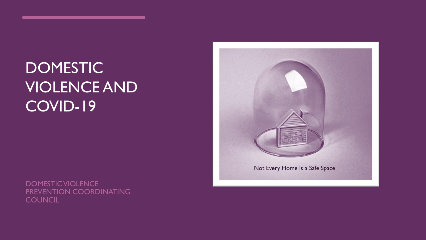# DOMESTIC VIOLENCE AND COVID-19

DOMESTIC VIOLENCE PREVENTION COORDINATING **COUNCIL** 

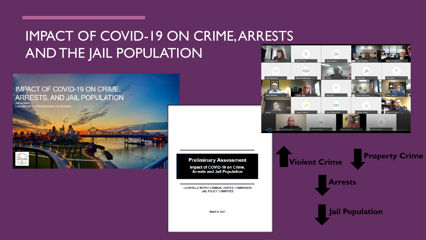# IMPACT OF COVID-19 ON CRIME, ARRESTS AND THE JAIL POPULATION

#### **IMPACT OF COVID-19 ON CRIME,** ARRESTS, AND JAIL POPULATION

Jamie Allen<br>Louisville Metro Criminal Justice Commissio



**Preliminary Assessment** Impact of COVID-19 on Crime, **Arrests and Jail Population** 

LOUISVILLE METRO CRIMINAL JUSTICE COMMISSION **JAIL POLICY COMMITTEE** 

**MARCH 2021** 



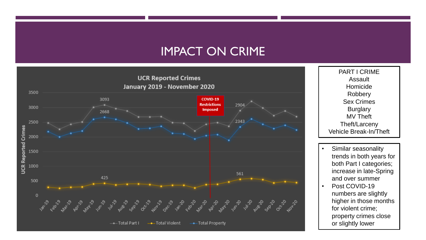#### IMPACT ON CRIME



PART I CRIME Assault Homicide Robbery Sex Crimes **Burglary** MV Theft Theft/Larceny Vehicle Break-In/Theft

- Similar seasonality trends in both years for both Part I categories; increase in late-Spring and over summer
- Post COVID-19 numbers are slightly higher in those months for violent crime; property crimes close or slightly lower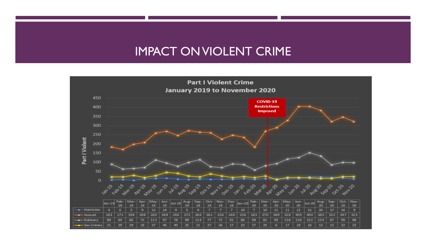### IMPACT ON VIOLENT CRIME

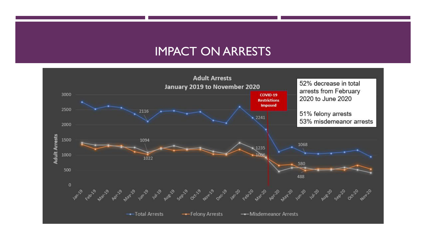#### IMPACT ON ARRESTS

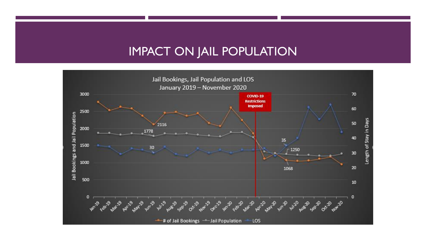#### IMPACT ON JAIL POPULATION

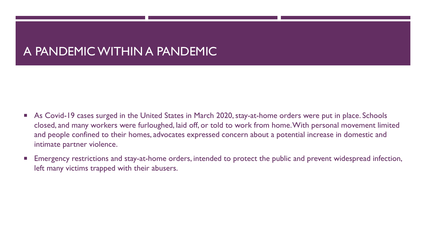## A PANDEMIC WITHIN A PANDEMIC

- As Covid-19 cases surged in the United States in March 2020, stay-at-home orders were put in place. Schools closed, and many workers were furloughed, laid off, or told to work from home. With personal movement limited and people confined to their homes, advocates expressed concern about a potential increase in domestic and intimate partner violence.
- Emergency restrictions and stay-at-home orders, intended to protect the public and prevent widespread infection, left many victims trapped with their abusers.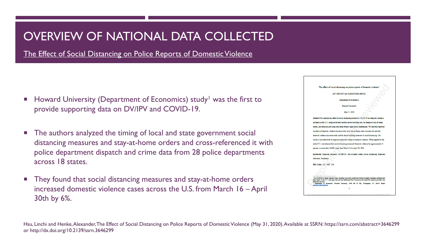## OVERVIEW OF NATIONAL DATA COLLECTED

The Effect of Social Distancing on Police Reports of Domestic Violence

- Howard University (Department of Economics) study<sup>1</sup> was the first to provide supporting data on DV/IPV and COVID-19.
- The authors analyzed the timing of local and state government social distancing measures and stay-at-home orders and cross-referenced it with police department dispatch and crime data from 28 police departments across 18 states.
- They found that social distancing measures and stay-at-home orders increased domestic violence cases across the U.S. from March 16 – April 30th by 6%.



Hsu, Linchi and Henke, Alexander, The Effect of Social Distancing on Police Reports of Domestic Violence (May 31, 2020). Available at SSRN: https://ssrn.com/abstract=3646299 or http://dx.doi.org/10.2139/ssrn.3646299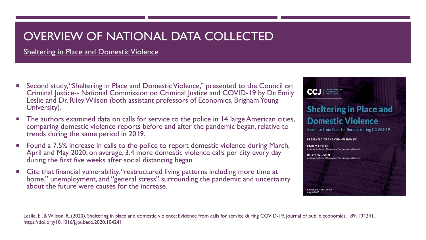## OVERVIEW OF NATIONAL DATA COLLECTED

Sheltering in Place and Domestic Violence

- **Second study, "Sheltering in Place and Domestic Violence," presented to the Council on** Criminal Justice-- National Commission on Criminal Justice and COVID-19 by Dr. Emily Leslie and Dr. Riley Wilson (both assistant professors of Economics, Brigham Young University).
- The authors examined data on calls for service to the police in 14 large American cities, comparing domestic violence reports before and after the pandemic began, relative to trends during the same period in 2019.
- Found a 7.5% increase in calls to the police to report domestic violence during March, April and May 2020; on average, 3.4 more domestic violence calls per city every day during the first five weeks after social distancing began.
- **EXTE:** Cite that financial vulnerability, "restructured living patterns including more time at home," unemployment, and "general stress" surrounding the pandemic and uncertainty about the future were causes for the increase.



Leslie, E., & Wilson, R. (2020). Sheltering in place and domestic violence: Evidence from calls for service during COVID-19. Journal of public economics, 189, 104241. https://doi.org/10.1016/j.jpubeco.2020.104241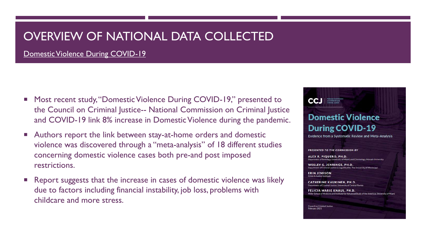## OVERVIEW OF NATIONAL DATA COLLECTED

Domestic Violence During COVID-19

- Most recent study, "Domestic Violence During COVID-19," presented to the Council on Criminal Justice-- National Commission on Criminal Justice and COVID-19 link 8% increase in Domestic Violence during the pandemic.
- Authors report the link between stay-at-home orders and domestic violence was discovered through a "meta-analysis" of 18 different studies concerning domestic violence cases both pre-and post imposed restrictions.
- Report suggests that the increase in cases of domestic violence was likely due to factors including financial instability, job loss, problems with childcare and more stress.



**Evidence from a Systematic Review and Meta-Analysis** 

PRESENTED TO THE COMMISSION BY

ALEX R. PIQUERO, PH.D. ent of Sociology, University of Miami, and Criminology, Monash Universit

WESLEY G. JENNINGS, PH.D. Department of Criminal Justice & Legal Studies. The University of Mississipp

**ERIN JEMISON** Crime & Justice Institute

**CCJ** *Millional Commissio* 

**CATHERINE KAUKINEN, PH.D.** Department of Criminal Justice, University of Central Florida

**FELICIA MARIE KNAUL, PH.D.** Miller School of Medicine and Institute for Advanced Study of the Americas, University of Miam

Council on Criminal Justice February 2021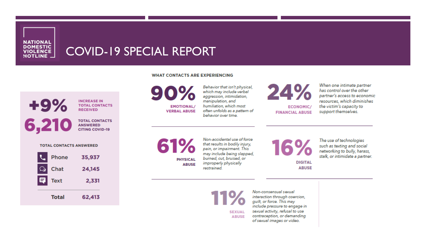**NATIONAL DOMESTIC** VIOLENCE

### COVID-19 SPECIAL REPORT

#### **WHAT CONTACTS ARE EXPERIENCING**



**RECEIVED TOTAL CONTACTS** 

**ANSWERED CITING COVID-19** 

**TOTAL CONTACTS ANSWERED** 

| Phone            | 35,937 |  |
|------------------|--------|--|
| Chat<br>$\Omega$ | 24,145 |  |
| Text<br>61       | 2,331  |  |
| <b>Total</b>     | 62,413 |  |

90% **EMOTIONAL/ VERBAL ABUSE** 

Behavior that isn't physical, which may include verbal aggression, intimidation, manipulation, and humiliation, which most often unfolds as a pattern of behavior over time.



When one intimate partner has control over the other partner's access to economic resources, which diminishes the victim's capacity to support themselves.

61% **PHYSICAL ABUSE** 

Non-accidental use of force that results in bodily injury, pain, or impairment. This may include being slapped, burned, cut, bruised, or improperly physically restrained.

16% **DIGITAL ABUSE** 

The use of technologies such as texting and social networking to bully, harass, stalk, or intimidate a partner.

11% **SEXUAL ABUSE** 

Non-consensual sexual interaction through coercion. guilt, or force. This may include pressure to engage in sexual activity, refusal to use contraception, or demanding of sexual images or video.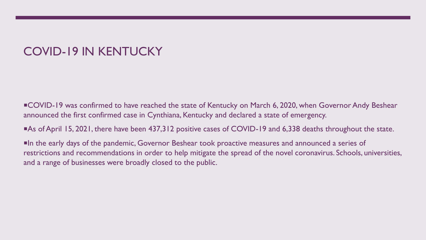## COVID-19 IN KENTUCKY

COVID-19 was confirmed to have reached the state of Kentucky on March 6, 2020, when Governor Andy Beshear announced the first confirmed case in Cynthiana, Kentucky and declared a state of emergency.

As of April 15, 2021, there have been 437,312 positive cases of COVID-19 and 6,338 deaths throughout the state.

In the early days of the pandemic, Governor Beshear took proactive measures and announced a series of restrictions and recommendations in order to help mitigate the spread of the novel coronavirus. Schools, universities, and a range of businesses were broadly closed to the public.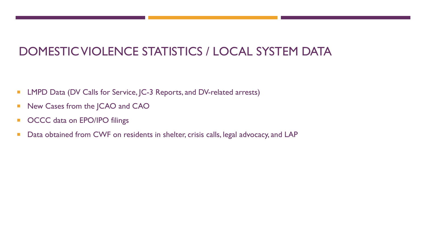## DOMESTIC VIOLENCE STATISTICS / LOCAL SYSTEM DATA

- **LMPD Data (DV Calls for Service, JC-3 Reports, and DV-related arrests)**
- New Cases from the JCAO and CAO
- **OCCC** data on EPO/IPO filings
- Data obtained from CWF on residents in shelter, crisis calls, legal advocacy, and LAP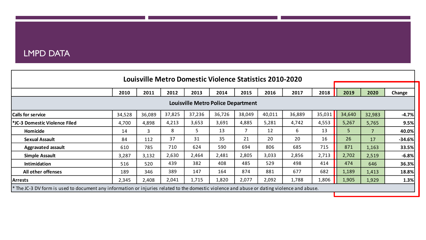#### LMPD DATA

|                                                                                                                                             |        |        |        |        | Louisville Metro Domestic Violence Statistics 2010-2020 |        |        |        |        |        |        |          |  |
|---------------------------------------------------------------------------------------------------------------------------------------------|--------|--------|--------|--------|---------------------------------------------------------|--------|--------|--------|--------|--------|--------|----------|--|
|                                                                                                                                             |        |        |        |        |                                                         |        |        |        |        |        |        |          |  |
|                                                                                                                                             | 2010   | 2011   | 2012   | 2013   | 2014                                                    | 2015   | 2016   | 2017   | 2018   | 2019   | 2020   | Change   |  |
| <b>Louisville Metro Police Department</b>                                                                                                   |        |        |        |        |                                                         |        |        |        |        |        |        |          |  |
| <b>Calls for service</b>                                                                                                                    | 34,528 | 36,089 | 37,825 | 37,236 | 36,726                                                  | 38,049 | 40,011 | 36,889 | 35,031 | 34,640 | 32,983 | $-4.7%$  |  |
| <b>*JC-3 Domestic Violence Filed</b>                                                                                                        | 4,700  | 4,898  | 4,213  | 3,653  | 3,691                                                   | 4,885  | 5,281  | 4,742  | 4,553  | 5,267  | 5,765  | 9.5%     |  |
| Homicide                                                                                                                                    | 14     | 3      | 8      | 5.     | 13                                                      | 7      | 12     | 6      | 13     | 5      |        | 40.0%    |  |
| <b>Sexual Assault</b>                                                                                                                       | 84     | 112    | 37     | 31     | 35                                                      | 21     | 20     | 20     | 16     | 26     | 17     | $-34.6%$ |  |
| <b>Aggravated assault</b>                                                                                                                   | 610    | 785    | 710    | 624    | 590                                                     | 694    | 806    | 685    | 715    | 871    | 1,163  | 33.5%    |  |
| <b>Simple Assault</b>                                                                                                                       | 3,287  | 3,132  | 2,630  | 2,464  | 2,481                                                   | 2,805  | 3,033  | 2,856  | 2,713  | 2,702  | 2,519  | $-6.8%$  |  |
| Intimidation                                                                                                                                | 516    | 520    | 439    | 382    | 408                                                     | 485    | 529    | 498    | 414    | 474    | 646    | 36.3%    |  |
| All other offenses                                                                                                                          | 189    | 346    | 389    | 147    | 164                                                     | 874    | 881    | 677    | 682    | 1,189  | 1,413  | 18.8%    |  |
| <b>Arrests</b>                                                                                                                              | 2,345  | 2,408  | 2,041  | 1,715  | 1,820                                                   | 2,077  | 2,092  | 1,788  | 1,806  | 1,905  | 1,929  | 1.3%     |  |
| * The JC-3 DV form is used to document any information or injuries related to the domestic violence and abuse or dating violence and abuse. |        |        |        |        |                                                         |        |        |        |        |        |        |          |  |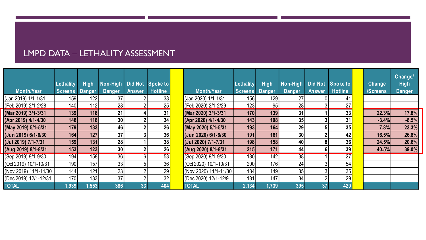#### LMPD DATA – LETHALITY ASSESSMENT

|                                |                  |               |                 |                |                |                       |                |               |                 |                |                 |          | <b>Changel</b> |  |
|--------------------------------|------------------|---------------|-----------------|----------------|----------------|-----------------------|----------------|---------------|-----------------|----------------|-----------------|----------|----------------|--|
|                                | Lethality        | <b>High</b>   | Non-High        | <b>Did Not</b> | Spoke to       |                       | Lethality      | <b>High</b>   | Non-High        | <b>Did Not</b> | Spoke to        | Change   | <b>High</b>    |  |
| <b>Month/Year</b>              | <b>Screens</b>   | <b>Danger</b> | Danger          | <b>Answer</b>  | <b>Hotline</b> | <b>Month/Year</b>     | <b>Screens</b> | <b>Danger</b> | Danger          | <b>Answer</b>  | <b>Hotline</b>  | /Screens | <b>Danger</b>  |  |
| (Jan 2019) 1/1-1/31            | 159              | 122           | 37              |                | 38             | (Jan 2020) 1/1-1/31   | 156            | 129           | 27 <sub>l</sub> |                | 41              |          |                |  |
| (Feb 2019) 2/1-2/28            | 140              | 112           | 28              |                | 25             | (Feb 2020) 2/1-2/29   | 123            | 95            | 28              |                | 27              |          |                |  |
| (Mar 2019) 3/1-3/31            | 139              | 118           | 21              |                | 31             | (Mar 2020) 3/1-3/31   | 170            | 139           | 31              |                | 33 <sub>1</sub> | 22.3%    | 17.8%          |  |
| (Apr 2019) 4/1-4/30            | 148              | 118           | 30 <sup>1</sup> |                | 34             | (Apr 2020) 4/1-4/30   | 143            | 108           | 35              |                | 31              | $-3.4%$  | $-8.5%$        |  |
| (May 2019) 5/1-5/31            | 179              | 133           | 46              |                | 26             | (May 2020) 5/1-5/31   | 193            | 164           | 29              |                | 35              | 7.8%     | 23.3%          |  |
| (Jun 2019) 6/1-6/30            | 164              | 127           | 37              |                | 36             | (Jun 2020) 6/1-6/30   | 191            | 161           | 30 <sup>1</sup> |                | 42              | 16.5%    | 26.8%          |  |
| (Jul 2019) 7/1-7/31            | 159              | 131           | 28              |                | 38             | (Jul 2020) 7/1-7/31   | 198            | 158           | 40              |                | 36              | 24.5%    | 20.6%          |  |
| (Aug 2019) 8/1-8/31            | 153              | 123           | 30 <sup>°</sup> |                | 26             | (Aug 2020) 8/1-8/31   | 215            | 171           | 44              |                | 39              | 40.5%    | 39.0%          |  |
| $\sqrt{(5ep\ 2019)\ 9/1-9/30}$ | 194              | 158           | 36              | 6              | 53             | (Sep 2020) 9/1-9/30   | 180            | 142           | 38              |                | 27              |          |                |  |
| (Oct 2019) 10/1-10/31          | 190              | 157           | 33              |                | 36             | (Oct 2020) 10/1-10/31 | 200            | 176           | 24              |                | 54              |          |                |  |
| (Nov 2019) 11/1-11/30          | 144 <sub>1</sub> | 121           | 23              |                | 29             | (Nov 2020) 11/1-11/30 | 184            | 149           | 35              |                | 35              |          |                |  |
| (Dec 2019) 12/1-12/31          | 170              | 133           | 37              |                | 32             | (Dec 2020) 12/1-12/9  | 181            | 147           | 34              |                | 29              |          |                |  |
| <b>TOTAL</b>                   | 1,939            | 1,553         | 386             | 33             | 404            | <b>TOTAL</b>          | 2,134          | 1,739         | 395             | 37             | 429             |          |                |  |

| Change         | Change/<br><b>High</b> |  |
|----------------|------------------------|--|
| <b>Screens</b> | Danger                 |  |
|                |                        |  |
|                |                        |  |
| 22.3%          | 17.8%                  |  |
| $-3.4%$        | $-8.5%$                |  |
| 7.8%           | 23.3%                  |  |
| 16.5%          | 26.8%                  |  |
| 24.5%          | 20.6%                  |  |
| 40.5%          | 39.0%                  |  |
|                |                        |  |
|                |                        |  |
|                |                        |  |
|                |                        |  |
|                |                        |  |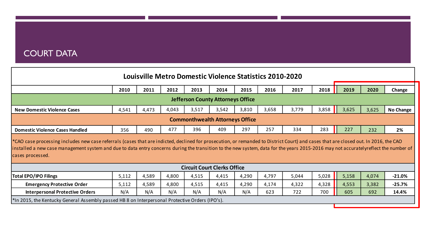#### COURT DATA

|                                                                                                                                                                                                                                                                                                                                                                                                | Louisville Metro Domestic Violence Statistics 2010-2020 |       |        |                                    |       |       |       |       |       |       |       |           |  |  |  |
|------------------------------------------------------------------------------------------------------------------------------------------------------------------------------------------------------------------------------------------------------------------------------------------------------------------------------------------------------------------------------------------------|---------------------------------------------------------|-------|--------|------------------------------------|-------|-------|-------|-------|-------|-------|-------|-----------|--|--|--|
|                                                                                                                                                                                                                                                                                                                                                                                                | 2019                                                    | 2020  | Change |                                    |       |       |       |       |       |       |       |           |  |  |  |
| <b>Jefferson County Attorneys Office</b>                                                                                                                                                                                                                                                                                                                                                       |                                                         |       |        |                                    |       |       |       |       |       |       |       |           |  |  |  |
| <b>New Domestic Violence Cases</b>                                                                                                                                                                                                                                                                                                                                                             | 4,541                                                   | 4,473 | 4,043  | 3,517                              | 3,542 | 3,810 | 3,658 | 3,779 | 3,858 | 3,625 | 3,625 | No Change |  |  |  |
| <b>Commonthwealth Attorneys Office</b>                                                                                                                                                                                                                                                                                                                                                         |                                                         |       |        |                                    |       |       |       |       |       |       |       |           |  |  |  |
| <b>Domestic Violence Cases Handled</b>                                                                                                                                                                                                                                                                                                                                                         | 356                                                     | 490   | 477    | 396                                | 409   | 297   | 257   | 334   | 283   | 227   | 232   | 2%        |  |  |  |
| *CAO case processing includes new case referrals (cases that are indicted, declined for prosecution, or remanded to District Court) and cases that are closed out. In 2016, the CAO<br>installed a new case management system and due to data entry concerns during the transition to the new system, data for the years 2015-2016 may not accuratelyreflect the number of<br>cases processed. |                                                         |       |        |                                    |       |       |       |       |       |       |       |           |  |  |  |
|                                                                                                                                                                                                                                                                                                                                                                                                |                                                         |       |        | <b>Circuit Court Clerks Office</b> |       |       |       |       |       |       |       |           |  |  |  |
| <b>Total EPO/IPO Filings</b>                                                                                                                                                                                                                                                                                                                                                                   | 5,112                                                   | 4,589 | 4,800  | 4,515                              | 4,415 | 4,290 | 4,797 | 5,044 | 5,028 | 5,158 | 4,074 | $-21.0%$  |  |  |  |
| <b>Emergency Protective Order</b>                                                                                                                                                                                                                                                                                                                                                              | 5,112                                                   | 4,589 | 4,800  | 4,515                              | 4,415 | 4,290 | 4,174 | 4,322 | 4,328 | 4,553 | 3,382 | $-25.7%$  |  |  |  |
| <b>Interpersonal Protective Orders</b>                                                                                                                                                                                                                                                                                                                                                         | N/A                                                     | N/A   | N/A    | N/A                                | N/A   | N/A   | 623   | 722   | 700   | 605   | 692   | 14.4%     |  |  |  |
| *In 2015, the Kentucky General Assembly passed HB 8 on Interpersonal Protective Orders (IPO's).                                                                                                                                                                                                                                                                                                |                                                         |       |        |                                    |       |       |       |       |       |       |       |           |  |  |  |
|                                                                                                                                                                                                                                                                                                                                                                                                |                                                         |       |        |                                    |       |       |       |       |       |       |       |           |  |  |  |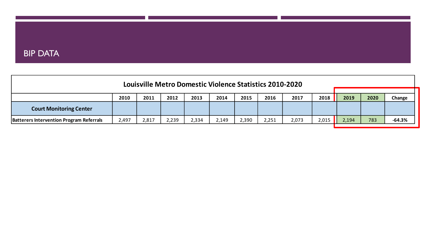#### BIP DATA

| Louisville Metro Domestic Violence Statistics 2010-2020              |       |       |       |       |       |       |       |       |       |       |      |          |  |  |
|----------------------------------------------------------------------|-------|-------|-------|-------|-------|-------|-------|-------|-------|-------|------|----------|--|--|
| 2018<br>2012<br>2016<br>2010<br>2011<br>2014<br>2015<br>2017<br>2013 |       |       |       |       |       |       |       |       |       |       | 2020 | Change   |  |  |
| <b>Court Monitoring Center</b>                                       |       |       |       |       |       |       |       |       |       | 2019  |      |          |  |  |
| <b>Batterers Intervention Program Referrals</b>                      | 2,497 | 2,817 | 2,239 | 2,334 | 2,149 | 2,390 | 2,251 | 2,073 | 2,015 | 2,194 | 783  | $-64.3%$ |  |  |